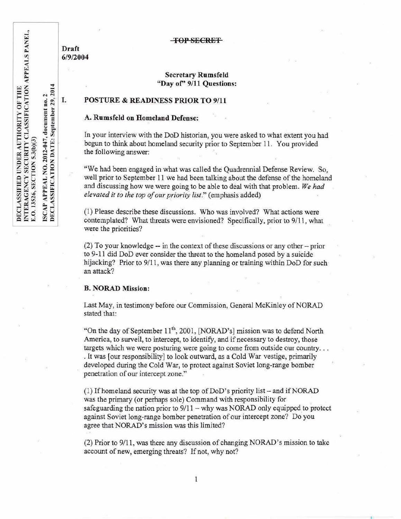Draft 6/9/2004

#### TOP SECRET

## Secretary Rumsfeld "Day of' 9/11 Questions:

# I. POSTURE & READINESS PRIOR TO 9/11

## A. Rumsfeld on Homeland Defense:

In your interview with the DoD historian, you were asked to what extent you had begun to think about homeland security prior to September 11. You provided the following answer:

"We had been engaged in what was called the Quadrennial Defense Review. So, well prior to September 11 we had been talking about the defense of the homeland and discussing how we were going to be able to deal with that problem. *We had elevated it to the top of our priority list.*" (emphasis added)

(1) Please describe these discussions. Who was involved? What actions were contemplated? What threats were envisioned? Specifically, prior to  $9/11$ , what were the priorities?

 $(2)$  To your knowledge -- in the context of these discussions or any other -- prior to 9-11 did DoD ever consider the threat to the homeland posed by a suicide hijacking? Prior to 9/11, was there any planning or training within DoD for such an attack?

#### B. NORAD Mission:

Last May, in testimony before our Commission, General McKinley of NORAD stated that:

"On the day of September  $11<sup>th</sup>$ , 2001, [NORAD's] mission was to defend North America, to surveil, to intercept, to identify, and if necessary to destroy, those targets which we were posturing were going to come from outside our country... . It was [our responsibility] to look outward, as a Cold War vestige, primarily developed during the Cold War, to protect against Soviet long-range bomber penetration of our intercept zone."

(1) If homeland security was at the top of  $DoD$ 's priority list - and if NORAD was the primary (or perhaps sole) Command with responsibility for \_ safeguarding the nation prior to  $9/11$  - why was NORAD only equipped to protect against Soviet long-range bomber penetration of our intercept zone? Do you agree that NORAD's mission was this limited?

(2) Prior to 9/11, was there any discussion of changing NORAD's mission to take account of new, emerging threats? If not, why not?

PANEL THE<br>ION APPEALS<br>2<br>2014 OF TH<br>CATIO<br>no. 2<br>. 29, 20 TY OF 1<br>IFICAT<br>nent no. .<br>nber 29, XITY C<br>SSIFIC<br>ament  $\frac{1}{2}$   $\frac{1}{2}$  $^{11}$  Y<br>a oct<br>Septe AUTH<br>ITY CI<br>(b)(3)<br>2-947, d<br>UE: S **ER**<br>CRIT<br>S30<br>012-<br>DA  $\Xi$   $\approx$ QUE<br>QU<br>ON 3<br>ON I z~o o\_·o IFIED UN<br>:ENCY SE<br>5, SECTIO<br>PEAL NO<br>HEICATIO  ${}^{0.0}_{0.2}$   ${}^{0.0}_{0.0}$ SCLAS<br>TERA<br>D. 1352<br>CAP A<br>SCLAS  $\begin{array}{@{}ll} \texttt{DEC} \ \texttt{UC} \ \texttt{UC} \ \texttt{UC} \ \texttt{UC} \ \texttt{UC} \ \texttt{UC} \ \texttt{UC} \end{array}$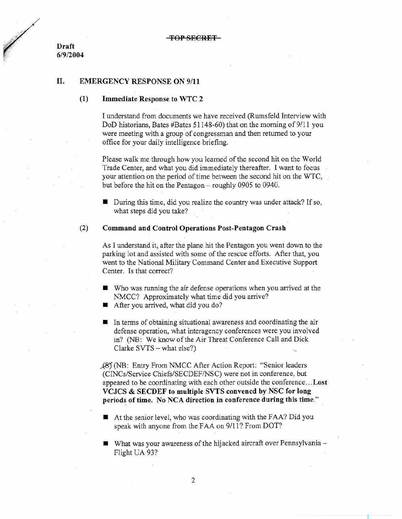Draft 6/9/2004

# II. EMERGENCY RESPONSE ON 9/11

## $(1)$  Immediate Response to WTC 2

I understand from documents we have received (Rumsfeld Interview with DoD historians, Bates #Bates 51148-60) that on the morning of 9/11 you were meeting with a group of congressman and then returned to your office for your daily intelligence briefing.

Please walk me through how you learned of the second hit on the World Trade Center, and what you did immediately thereafter. I want to focus your attention on the period of time between the second hit on the WTC, but before the hit on the Pentagon- roughly 0905 to 0940.

 $\blacksquare$  During this time, did you realize the country was under attack? If so, what steps did you take?

## (2) Command and Control Operations Post-Pentagon Crash

As I understand it, after the plane hit the Pentagon you went down to the parking lot and assisted with some of the rescue efforts. After that, you went to the National Military Command Center and Executive Support Center. Is that correct?

- $\blacksquare$  Who was running the air defense operations when you arrived at the NMCC? Approximately what time did you arrive?
- After you arrived, what did you do?
- $\blacksquare$  In terms of obtaining situational awareness and coordinating the air defense operation, what interagency conferences were you involved in? (NB: We know of the Air Threat Conference Call and Dick Clarke  $SVTS - what else?$ )

(NB: Entry From NMCC After Action Report: "Senior leaders (CINCs/Service Chiefs/SECDEF/NSC) were not in conference, but appeared to be coordinating with each other outside the conference ...Lost VCJCS & SECDEF to multiple SVTS convened by NSC for long periods of time. No NCA direction in conference during this time."

- $\blacksquare$  At the senior level, who was coordinating with the FAA? Did you speak with anyone from the FAA on 9/11? From DOT?
- **What was your awareness of the hijacked aircraft over Pennsylvania** Flight UA 93?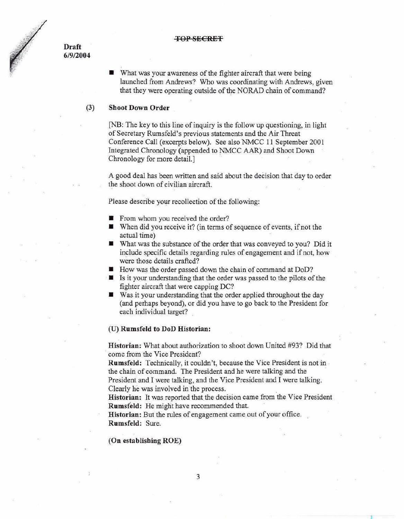#### **TOP SECRET**

**Draft 6/9/2004** 

> $\blacksquare$  What was your awareness of the fighter aircraft that were being launched from Andrews? Who was coordinating with Andrews, given that they were operating outside of the NORAD chain of command?

## (3) Shoot Down Order

[NB: The key to this line of inquiry is the follow up questioning, in light of Secretary Rumsfeld's previous statements and the Air Threat Conference Call (excerpts below). See also NMCC 11 September 2001 Integrated Chronology (appended to NMCC AAR) and Shoot Down Chronology for more detail.]

A good deal has been written and said about the decision that day to order the shoot down of civilian aircraft.

Please describe your recollection of the following:

- From whom you received the order?
- $\blacksquare$  When did you receive it? (in terms of sequence of events, if not the actual time)
- $\blacksquare$  What was the substance of the order that was conveyed to you? Did it include specific details regarding rules of engagement and if not, how were those details crafted?
- How was the order passed down the chain of command at DoD?
- $\blacksquare$  Is it your understanding that the order was passed to the pilots of the fighter aircraft that were capping DC?
- Was it your understanding that the order applied throughout the day (and perhaps beyond), or did you have to go back to the President for each individual target?

#### (U) **Rumsfeld to DoD Historian:**

**Historian:** What about authorization to shoot down United #93? Did that come from the Vice President?

**Rumsfeld:** Technically, it couldn't, because the Vice President is not in the chain of command. The President and he were talking and the President and I were talking, and the Vice President and I were talking. Clearly he was involved in the process. .

**Historian:** It was reported that the decision came from the Vice President **Rumsfeld:** He might have recommended that. ·

**l** 

**Historian:** But the rules of engagement came out of your office. **Rum sfeld:** Sure.

# **(On establishing ROE)**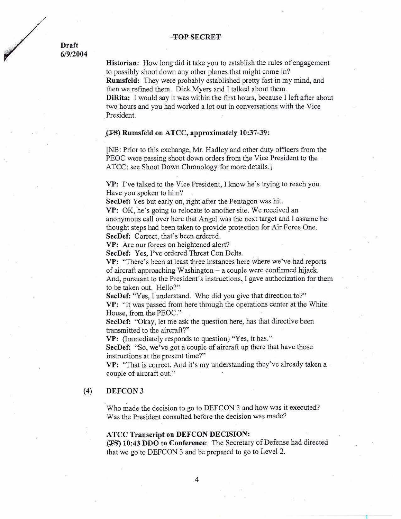#### **TOP SECRET**

**Draft 6/9/2004** 

> **Historian:** How long did it take you to establish the rules of engagement . to possibly shoot down any other planes that might come in? **Rumsfeld:** They were probably established pretty fast in my mind, and then we refined them. Dick Myers and I talked about them. **DiRita:** I would say it was within the first hours, because I left after about two hours and you had worked a lot out in conversations with the Vice President.

## **£I-S) Rumsfeld on ATCC, approximately 10:37-39:**

[NB: Prior to this exchange, Mr. Hadley and other duty officers from the PEOC were passing shoot down orders from the Vice President to the ATCC; see Shoot Down Chronology for more details.]

**VP:** I've talked to the Vice President, I know he's trying to reach you. Have you spoken to him?

**SecDef:** Yes but early on, right after the Pentagon was hit.

**VP:** OK, he's going to relocate to another site. We received an anonymous call over here that Angel was the next target and I assume he thought steps had been taken to provide protection for Air Force One. SecDef: Correct, that's been ordered.

**VP:** Are our forces on heightened alert?

**SecDef:** Yes, I've ordered Threat Con Delta.

**VP:** "There's been at least three instances here where we've had reports of aircraft approaching Washington  $-$  a couple were confirmed hijack. And, pursuant to the President's instructions, I gave authorization for them to be taken out. Hello?"

**SecDef:** "Yes, I understand. Who did you give that direction to?" **VP:** "It was passed from here through the operations center at the White House, from the PEOC."

**SecDef:** "Okay, let me ask the question here, has that directive been transmitted to the aircraft?"

**VP:** (Immediately responds to question) "Yes, it has."

**SecDef:** "So, we've got a couple of aircraft up there that have those instructions at the present time?"

VP: "That is correct. And it's my understanding they've already taken a couple of aircraft out."

## **(4) DEFCON3**

Who made the decision to go to DEFCON 3 and how was it executed? Was the President consulted before the decision was made?

#### **ATCC Transcript on DEFCON DECISION:**

**.(:FS) 10:43 DDO to Conference:** The Secretary ofDefense had directed that we go to DEFCON 3 and be prepared to go to Level 2.

**J** 

4